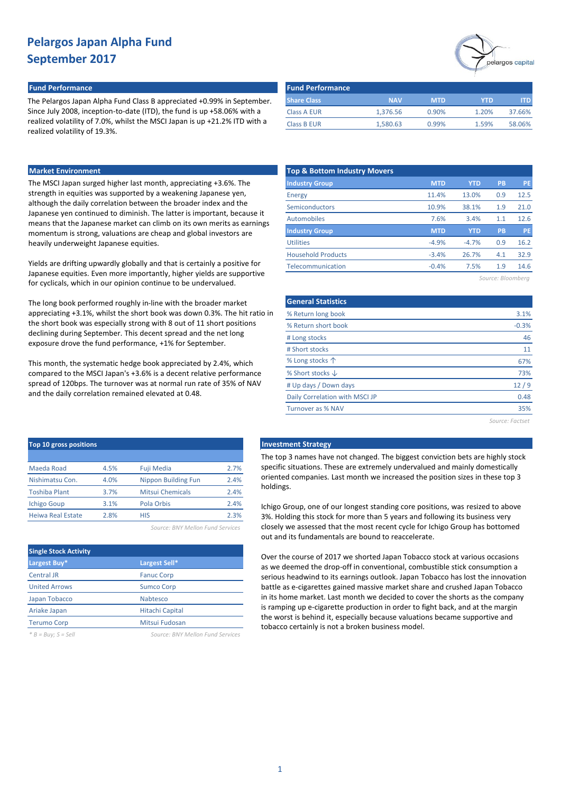## **Fund Performance Fund Performance**

The Pelargos Japan Alpha Fund Class B appreciated +0.99% in September. Since July 2008, inception-to-date (ITD), the fund is up +58.06% with a realized volatility of 7.0%, whilst the MSCI Japan is up +21.2% ITD with a realized volatility of 19.3%.

### **Market Environment**

The MSCI Japan surged higher last month, appreciating +3.6%. The strength in equities was supported by a weakening Japanese yen, although the daily correlation between the broader index and the Japanese yen continued to diminish. The latter is important, because it means that the Japanese market can climb on its own merits as earnings momentum is strong, valuations are cheap and global investors are heavily underweight Japanese equities.

Yields are drifting upwardly globally and that is certainly a positive for Japanese equities. Even more importantly, higher yields are supportive for cyclicals, which in our opinion continue to be undervalued.

The long book performed roughly in-line with the broader market appreciating +3.1%, whilst the short book was down 0.3%. The hit ratio in the short book was especially strong with 8 out of 11 short positions declining during September. This decent spread and the net long exposure drove the fund performance, +1% for September.

This month, the systematic hedge book appreciated by 2.4%, which compared to the MSCI Japan's +3.6% is a decent relative performance spread of 120bps. The turnover was at normal run rate of 35% of NAV and the daily correlation remained elevated at 0.48.

| <b>Fund Performance</b> |            |            |       |            |
|-------------------------|------------|------------|-------|------------|
| <b>Share Class</b>      | <b>NAV</b> | <b>MTD</b> | YTD   | <b>ITD</b> |
| <b>Class A EUR</b>      | 1,376.56   | 0.90%      | 1.20% | 37.66%     |
| <b>Class B EUR</b>      | 1,580.63   | 0.99%      | 1.59% | 58.06%     |

| <b>Top &amp; Bottom Industry Movers</b> |            |            |     |           |
|-----------------------------------------|------------|------------|-----|-----------|
| <b>Industry Group</b>                   | <b>MTD</b> | <b>YTD</b> | PB  | <b>PE</b> |
| Energy                                  | 11.4%      | 13.0%      | 0.9 | 12.5      |
| <b>Semiconductors</b>                   | 10.9%      | 38.1%      | 1.9 | 21.0      |
| Automobiles                             | 7.6%       | 3.4%       | 1.1 | 12.6      |
| <b>Industry Group</b>                   | <b>MTD</b> | <b>YTD</b> | PB  | <b>PE</b> |
| <b>Utilities</b>                        | $-4.9%$    | $-4.7%$    | 0.9 | 16.2      |
| <b>Household Products</b>               | $-3.4%$    | 26.7%      | 4.1 | 32.9      |
| Telecommunication                       | $-0.4%$    | 7.5%       | 1.9 | 14.6      |
|                                         |            |            |     |           |

*Source: Bloomberg*

pelargos capital

| <b>General Statistics</b>      |         |
|--------------------------------|---------|
| % Return long book             | 3.1%    |
| % Return short book            | $-0.3%$ |
| # Long stocks                  | 46      |
| # Short stocks                 | 11      |
| % Long stocks $\uparrow$       | 67%     |
| % Short stocks $\downarrow$    | 73%     |
| # Up days / Down days          | 12/9    |
| Daily Correlation with MSCI JP | 0.48    |
| <b>Turnover as % NAV</b>       | 35%     |
|                                |         |

*Source: Factset*

| <b>Top 10 gross positions</b> |      |                             |      |
|-------------------------------|------|-----------------------------|------|
|                               |      |                             |      |
| Maeda Road                    | 4.5% | <b>Fuji Media</b>           | 2.7% |
| Nishimatsu Con.               | 4.0% | <b>Nippon Building Fun</b>  | 2.4% |
| <b>Toshiba Plant</b>          | 3.7% | <b>Mitsui Chemicals</b>     | 2.4% |
| <b>Ichigo Goup</b>            | 3.1% | Pola Orbis                  | 2.4% |
| <b>Heiwa Real Estate</b>      | 2.8% | HIS                         | 2.3% |
|                               |      | $C = \{1, 2, \ldots, n-1\}$ |      |

*Source: BNY Mellon Fund Services*

| <b>Single Stock Activity</b> |                        |
|------------------------------|------------------------|
| Largest Buy*                 | Largest Sell*          |
| <b>Central JR</b>            | <b>Fanuc Corp</b>      |
| <b>United Arrows</b>         | <b>Sumco Corp</b>      |
| Japan Tobacco                | <b>Nabtesco</b>        |
| Ariake Japan                 | <b>Hitachi Capital</b> |
| <b>Terumo Corp</b>           | Mitsui Fudosan         |
|                              |                        |

*\* B = Buy; S = Sell Source: BNY Mellon Fund Services*

#### **Top 10 gross positions Investment Strategy**

The top 3 names have not changed. The biggest conviction bets are highly stock specific situations. These are extremely undervalued and mainly domestically oriented companies. Last month we increased the position sizes in these top 3 holdings.

Ichigo Group, one of our longest standing core positions, was resized to above 3%. Holding this stock for more than 5 years and following its business very closely we assessed that the most recent cycle for Ichigo Group has bottomed out and its fundamentals are bound to reaccelerate.

Over the course of 2017 we shorted Japan Tobacco stock at various occasions as we deemed the drop-off in conventional, combustible stick consumption a serious headwind to its earnings outlook. Japan Tobacco has lost the innovation battle as e-cigarettes gained massive market share and crushed Japan Tobacco in its home market. Last month we decided to cover the shorts as the company is ramping up e-cigarette production in order to fight back, and at the margin the worst is behind it, especially because valuations became supportive and tobacco certainly is not a broken business model.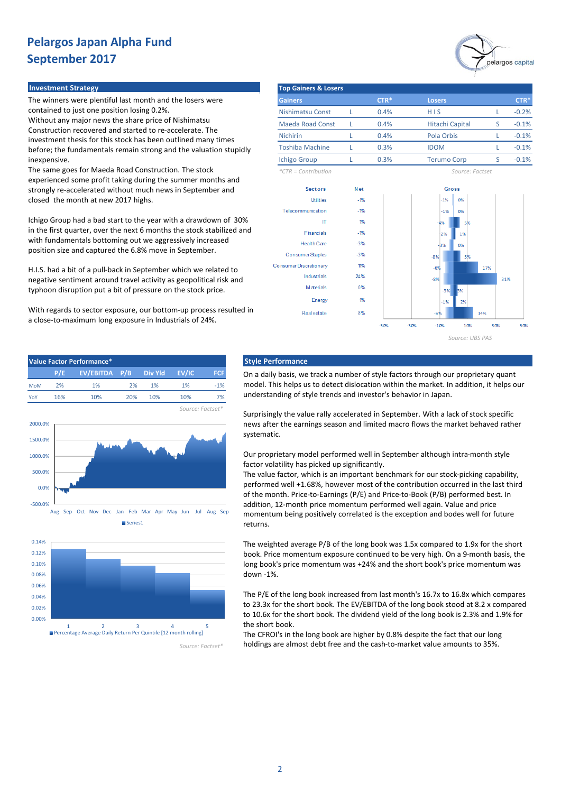

#### **Investment Strategy**

The winners were plentiful last month and the losers were contained to just one position losing 0.2%.

Without any major news the share price of Nishimatsu Construction recovered and started to re-accelerate. The investment thesis for this stock has been outlined many times before; the fundamentals remain strong and the valuation stupidly inexpensive.

The same goes for Maeda Road Construction. The stock experienced some profit taking during the summer months and strongly re-accelerated without much news in September and closed the month at new 2017 highs.

Ichigo Group had a bad start to the year with a drawdown of 30% in the first quarter, over the next 6 months the stock stabilized and with fundamentals bottoming out we aggressively increased position size and captured the 6.8% move in September.

H.I.S. had a bit of a pull-back in September which we related to negative sentiment around travel activity as geopolitical risk and typhoon disruption put a bit of pressure on the stock price.

With regards to sector exposure, our bottom-up process resulted in a close-to-maximum long exposure in Industrials of 24%.

| <b>Top Gainers &amp; Losers</b> |        |                        |   |               |
|---------------------------------|--------|------------------------|---|---------------|
| <b>Gainers</b>                  | $CTR*$ | <b>Losers</b>          |   | ${\sf CTR}^*$ |
| <b>Nishimatsu Const</b>         | 0.4%   | H I S                  |   | $-0.2%$       |
| <b>Maeda Road Const</b>         | 0.4%   | <b>Hitachi Capital</b> | S | $-0.1%$       |
| <b>Nichirin</b>                 | 0.4%   | Pola Orbis             |   | $-0.1%$       |
| <b>Toshiba Machine</b>          | 0.3%   | <b>IDOM</b>            |   | $-0.1%$       |
| <b>Ichigo Group</b>             | 0.3%   | <b>Terumo Corp</b>     |   | $-0.1%$       |

*\*CTR = Contribution Source: Factset*







### **Value Factor Performance\* Style Performance**

On a daily basis, we track a number of style factors through our proprietary quant model. This helps us to detect dislocation within the market. In addition, it helps our understanding of style trends and investor's behavior in Japan.

Surprisingly the value rally accelerated in September. With a lack of stock specific news after the earnings season and limited macro flows the market behaved rather systematic.

Our proprietary model performed well in September although intra-month style factor volatility has picked up significantly.

The value factor, which is an important benchmark for our stock-picking capability, performed well +1.68%, however most of the contribution occurred in the last third of the month. Price-to-Earnings (P/E) and Price-to-Book (P/B) performed best. In addition, 12-month price momentum performed well again. Value and price momentum being positively correlated is the exception and bodes well for future returns.

The weighted average P/B of the long book was 1.5x compared to 1.9x for the short book. Price momentum exposure continued to be very high. On a 9-month basis, the long book's price momentum was +24% and the short book's price momentum was down -1%.

The P/E of the long book increased from last month's 16.7x to 16.8x which compares to 23.3x for the short book. The EV/EBITDA of the long book stood at 8.2 x compared to 10.6x for the short book. The dividend yield of the long book is 2.3% and 1.9% for the short book.

The CFROI's in the long book are higher by 0.8% despite the fact that our long holdings are almost debt free and the cash-to-market value amounts to 35%.



1 2 3 4 5 Percentage Average Daily Return Per Quintile [12 month rolling]

*Source: Factset\**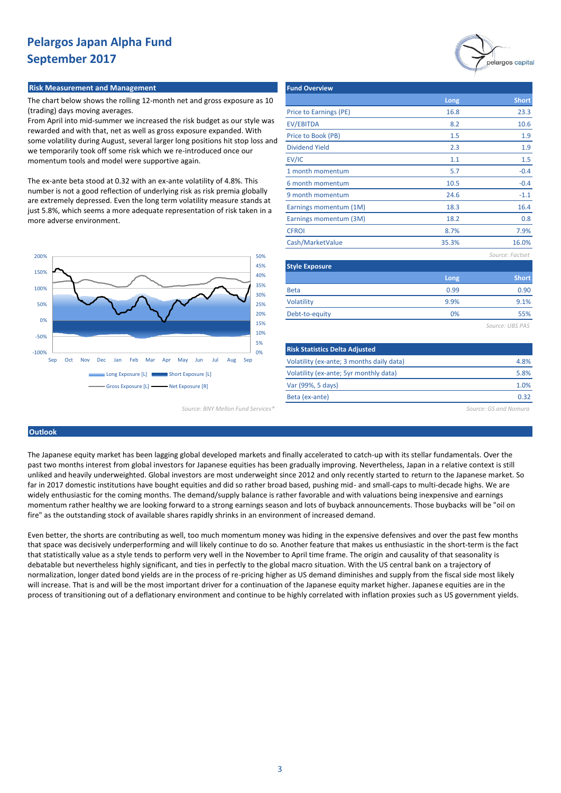### **Risk Measurement and Management**

The chart below shows the rolling 12-month net and gross exposure as 10 (trading) days moving averages.

From April into mid-summer we increased the risk budget as our style was rewarded and with that, net as well as gross exposure expanded. With some volatility during August, several larger long positions hit stop loss and we temporarily took off some risk which we re-introduced once our momentum tools and model were supportive again.

The ex-ante beta stood at 0.32 with an ex-ante volatility of 4.8%. This number is not a good reflection of underlying risk as risk premia globally are extremely depressed. Even the long term volatility measure stands at just 5.8%, which seems a more adequate representation of risk taken in a more adverse environment.



|                        |       | $\tau$          |
|------------------------|-------|-----------------|
| <b>Fund Overview</b>   |       |                 |
|                        | Long  | <b>Short</b>    |
| Price to Earnings (PE) | 16.8  | 23.3            |
| <b>EV/EBITDA</b>       | 8.2   | 10.6            |
| Price to Book (PB)     | 1.5   | 1.9             |
| <b>Dividend Yield</b>  | 2.3   | 1.9             |
| EV/IC                  | 1.1   | 1.5             |
| 1 month momentum       | 5.7   | $-0.4$          |
| 6 month momentum       | 10.5  | $-0.4$          |
| 9 month momentum       | 24.6  | $-1.1$          |
| Earnings momentum (1M) | 18.3  | 16.4            |
| Earnings momentum (3M) | 18.2  | 0.8             |
| <b>CFROI</b>           | 8.7%  | 7.9%            |
| Cash/MarketValue       | 35.3% | 16.0%           |
|                        |       | Source: Factset |
| <b>Style Exposure</b>  |       |                 |
|                        | Long  | <b>Short</b>    |
| <b>Beta</b>            | 0.99  | 0.90            |
| <b>Volatility</b>      | 9.9%  | 9.1%            |
| Debt-to-equity         | 0%    | 55%             |
|                        |       | Source: UBS PAS |
|                        |       |                 |

pelargos capital

| 5%<br>0%                               | <b>Risk Statistics Delta Adjusted</b>     |                       |
|----------------------------------------|-------------------------------------------|-----------------------|
| 1av<br>Jul<br>Aug<br><b>Jun</b><br>Sep | Volatility (ex-ante; 3 months daily data) | 4.8%                  |
| Exposure [L]                           | Volatility (ex-ante; 5yr monthly data)    | 5.8%                  |
| xposure [R]                            | Var (99%, 5 days)                         | 1.0%                  |
|                                        | Beta (ex-ante)                            | 0.32                  |
| Source: BNY Mellon Fund Services*      |                                           | Source: GS and Nomura |

## **Outlook**

The Japanese equity market has been lagging global developed markets and finally accelerated to catch-up with its stellar fundamentals. Over the past two months interest from global investors for Japanese equities has been gradually improving. Nevertheless, Japan in a relative context is still unliked and heavily underweighted. Global investors are most underweight since 2012 and only recently started to return to the Japanese market. So far in 2017 domestic institutions have bought equities and did so rather broad based, pushing mid- and small-caps to multi-decade highs. We are widely enthusiastic for the coming months. The demand/supply balance is rather favorable and with valuations being inexpensive and earnings momentum rather healthy we are looking forward to a strong earnings season and lots of buyback announcements. Those buybacks will be "oil on fire" as the outstanding stock of available shares rapidly shrinks in an environment of increased demand.

Even better, the shorts are contributing as well, too much momentum money was hiding in the expensive defensives and over the past few months that space was decisively underperforming and will likely continue to do so. Another feature that makes us enthusiastic in the short-term is the fact that statistically value as a style tends to perform very well in the November to April time frame. The origin and causality of that seasonality is debatable but nevertheless highly significant, and ties in perfectly to the global macro situation. With the US central bank on a trajectory of normalization, longer dated bond yields are in the process of re-pricing higher as US demand diminishes and supply from the fiscal side most likely will increase. That is and will be the most important driver for a continuation of the Japanese equity market higher. Japanese equities are in the process of transitioning out of a deflationary environment and continue to be highly correlated with inflation proxies such as US government yields.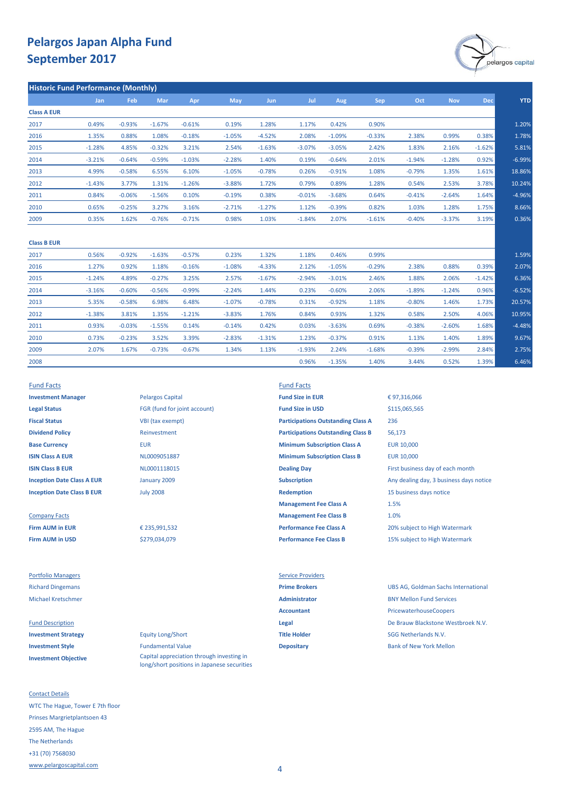

2.75% 6.46%

1.59% 2.07% 6.36% -6.52% 20.57% 10.95% -4.48% 9.67%

| <b>Historic Fund Performance (Monthly)</b> |          |            |          |          |            |          |          |            |          |            |            |          |
|--------------------------------------------|----------|------------|----------|----------|------------|----------|----------|------------|----------|------------|------------|----------|
| <b>Jan</b>                                 | Feb      | <b>Mar</b> | Apr      | May      | <b>Jun</b> | Jul      | Aug      | <b>Sep</b> | Oct      | <b>Nov</b> | <b>Dec</b> |          |
|                                            |          |            |          |          |            |          |          |            |          |            |            |          |
| 0.49%                                      | $-0.93%$ | $-1.67%$   | $-0.61%$ | 0.19%    | 1.28%      | 1.17%    | 0.42%    | 0.90%      |          |            |            | 1.20%    |
| 1.35%                                      | 0.88%    | 1.08%      | $-0.18%$ | $-1.05%$ | $-4.52%$   | 2.08%    | $-1.09%$ | $-0.33%$   | 2.38%    | 0.99%      | 0.38%      | 1.78%    |
| $-1.28%$                                   | 4.85%    | $-0.32%$   | 3.21%    | 2.54%    | $-1.63%$   | $-3.07%$ | $-3.05%$ | 2.42%      | 1.83%    | 2.16%      | $-1.62%$   | 5.81%    |
| $-3.21%$                                   | $-0.64%$ | $-0.59%$   | $-1.03%$ | $-2.28%$ | 1.40%      | 0.19%    | $-0.64%$ | 2.01%      | $-1.94%$ | $-1.28%$   | 0.92%      | $-6.99%$ |
| 4.99%                                      | $-0.58%$ | 6.55%      | 6.10%    | $-1.05%$ | $-0.78%$   | 0.26%    | $-0.91%$ | 1.08%      | $-0.79%$ | 1.35%      | 1.61%      | 18.86%   |
| $-1.43%$                                   | 3.77%    | 1.31%      | $-1.26%$ | $-3.88%$ | 1.72%      | 0.79%    | 0.89%    | 1.28%      | 0.54%    | 2.53%      | 3.78%      | 10.24%   |
| 0.84%                                      | $-0.06%$ | $-1.56%$   | 0.10%    | $-0.19%$ | 0.38%      | $-0.01%$ | $-3.68%$ | 0.64%      | $-0.41%$ | $-2.64%$   | 1.64%      | $-4.96%$ |
| 0.65%                                      | $-0.25%$ | 3.27%      | 3.16%    | $-2.71%$ | $-1.27%$   | 1.12%    | $-0.39%$ | 0.82%      | 1.03%    | 1.28%      | 1.75%      | 8.66%    |
| 0.35%                                      | 1.62%    | $-0.76%$   | $-0.71%$ | 0.98%    | 1.03%      | $-1.84%$ | 2.07%    | $-1.61%$   | $-0.40%$ | $-3.37%$   | 3.19%      | 0.36%    |
|                                            |          |            |          |          |            |          |          |            |          |            |            |          |

| <b>Class B EUR</b> |          |          |          |          |          |          |          |          |          |          |          |          |
|--------------------|----------|----------|----------|----------|----------|----------|----------|----------|----------|----------|----------|----------|
| 2017               | 0.56%    | $-0.92%$ | $-1.63%$ | $-0.57%$ | 0.23%    | 1.32%    | 1.18%    | 0.46%    | 0.99%    |          |          |          |
| 2016               | 1.27%    | 0.92%    | 1.18%    | $-0.16%$ | $-1.08%$ | $-4.33%$ | 2.12%    | $-1.05%$ | $-0.29%$ | 2.38%    | 0.88%    | 0.39%    |
| 2015               | $-1.24%$ | 4.89%    | $-0.27%$ | 3.25%    | 2.57%    | $-1.67%$ | $-2.94%$ | $-3.01%$ | 2.46%    | 1.88%    | 2.06%    | $-1.42%$ |
| 2014               | $-3.16%$ | $-0.60%$ | $-0.56%$ | $-0.99%$ | $-2.24%$ | 1.44%    | 0.23%    | $-0.60%$ | 2.06%    | $-1.89%$ | $-1.24%$ | 0.96%    |
| 2013               | 5.35%    | $-0.58%$ | 6.98%    | 6.48%    | $-1.07%$ | $-0.78%$ | 0.31%    | $-0.92%$ | 1.18%    | $-0.80%$ | 1.46%    | 1.73%    |
| 2012               | $-1.38%$ | 3.81%    | 1.35%    | $-1.21%$ | $-3.83%$ | 1.76%    | 0.84%    | 0.93%    | 1.32%    | 0.58%    | 2.50%    | 4.06%    |
| 2011               | 0.93%    | $-0.03%$ | $-1.55%$ | 0.14%    | $-0.14%$ | 0.42%    | 0.03%    | $-3.63%$ | 0.69%    | $-0.38%$ | $-2.60%$ | 1.68%    |
| 2010               | 0.73%    | $-0.23%$ | 3.52%    | 3.39%    | $-2.83%$ | $-1.31%$ | 1.23%    | $-0.37%$ | 0.91%    | 1.13%    | 1.40%    | 1.89%    |
| 2009               | 2.07%    | 1.67%    | $-0.73%$ | $-0.67%$ | 1.34%    | 1.13%    | $-1.93%$ | 2.24%    | $-1.68%$ | $-0.39%$ | $-2.99%$ | 2.84%    |
| 2008               |          |          |          |          |          |          | 0.96%    | $-1.35%$ | 1.40%    | 3.44%    | 0.52%    | 1.39%    |

**Legal Status** FGR (fund for joint account) **Fund Size in USD Fiscal Status** VBI (tax exempt) **Dividend Policy** Reinvestment

**Firm AUM in USD Performance Fee Class B** 15% subject to High Watermark

Portfolio Managers **Service Providers** Service Providers

**Investment Objective**

Contact Details WTC The Hague, Tower E 7th floor Prinses Margrietplantsoen 43 2595 AM, The Hague The Netherlands +31 (70) 7568030 [www.pelargoscapital.com](http://www.pelargoscapital.com/)

**Investment Manager Pelargos Capital <b>Fund Size in EUR** July 2008 January 2009

> € 235,991,532 \$279,034,079

**Investment Strategy Equity Long/Short Title Holder Title Holder** SGG Netherlands N.V. **Investment Style Depositary Depositary Depositary Bank of New York Mellon** Capital appreciation through investing in long/short positions in Japanese securities

Fund Facts Fund Facts

**Base Currency <b>EUR** EUR **EUR EUR Minimum Subscription Class A** EUR 10,000 **ISIN Class A EUR EUR EUR 10,000 MINIMUM MINIMUM MINIMUM MINIMUM Class B EUR** 10,000 **ISIN Class B EUR ISIN Class B EUR ISIN Class B EUR NL0001118015 Dealing Day Dealing Day First business day of each month Inception Date Class A EUR Subscription Subscription** Any dealing day, 3 business days notice **Inception Date Class B EUR In the Class B EUR Inception** 15 business days notice **Management Fee Class A** Company Facts **Management Fee Class B** Firm AUM in EUR **€ 235,991,532 Performance Fee Class A** 20% subject to High Watermark **Participations Outstanding Class A Participations Outstanding Class B**

€ 97,316,066 236 56,173 \$115,065,565 1.5% 1.0%

Richard Dingemans **Prime Brokers** UBS AG, Goldman Sachs International Michael Kretschmer **Administrator** BNY Mellon Fund Services Accountant **Accountant** PricewaterhouseCoopers Fund Description **Legal** De Brauw Blackstone Westbroek N.V.